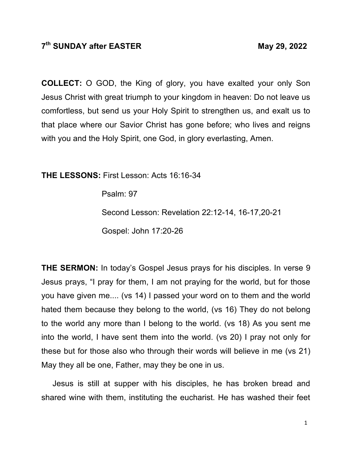## **7th SUNDAY after EASTER May 29, 2022**

**COLLECT:** O GOD, the King of glory, you have exalted your only Son Jesus Christ with great triumph to your kingdom in heaven: Do not leave us comfortless, but send us your Holy Spirit to strengthen us, and exalt us to that place where our Savior Christ has gone before; who lives and reigns with you and the Holy Spirit, one God, in glory everlasting, Amen.

**THE LESSONS:** First Lesson: Acts 16:16-34

Psalm: 97

Second Lesson: Revelation 22:12-14, 16-17,20-21

Gospel: John 17:20-26

**THE SERMON:** In today's Gospel Jesus prays for his disciples. In verse 9 Jesus prays, "I pray for them, I am not praying for the world, but for those you have given me.... (vs 14) I passed your word on to them and the world hated them because they belong to the world, (vs 16) They do not belong to the world any more than I belong to the world. (vs 18) As you sent me into the world, I have sent them into the world. (vs 20) I pray not only for these but for those also who through their words will believe in me (vs 21) May they all be one, Father, may they be one in us.

 Jesus is still at supper with his disciples, he has broken bread and shared wine with them, instituting the eucharist. He has washed their feet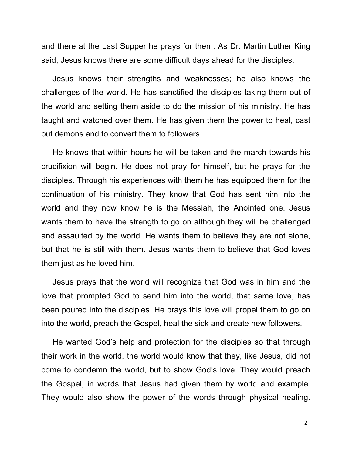and there at the Last Supper he prays for them. As Dr. Martin Luther King said, Jesus knows there are some difficult days ahead for the disciples.

 Jesus knows their strengths and weaknesses; he also knows the challenges of the world. He has sanctified the disciples taking them out of the world and setting them aside to do the mission of his ministry. He has taught and watched over them. He has given them the power to heal, cast out demons and to convert them to followers.

 He knows that within hours he will be taken and the march towards his crucifixion will begin. He does not pray for himself, but he prays for the disciples. Through his experiences with them he has equipped them for the continuation of his ministry. They know that God has sent him into the world and they now know he is the Messiah, the Anointed one. Jesus wants them to have the strength to go on although they will be challenged and assaulted by the world. He wants them to believe they are not alone, but that he is still with them. Jesus wants them to believe that God loves them just as he loved him.

 Jesus prays that the world will recognize that God was in him and the love that prompted God to send him into the world, that same love, has been poured into the disciples. He prays this love will propel them to go on into the world, preach the Gospel, heal the sick and create new followers.

 He wanted God's help and protection for the disciples so that through their work in the world, the world would know that they, like Jesus, did not come to condemn the world, but to show God's love. They would preach the Gospel, in words that Jesus had given them by world and example. They would also show the power of the words through physical healing.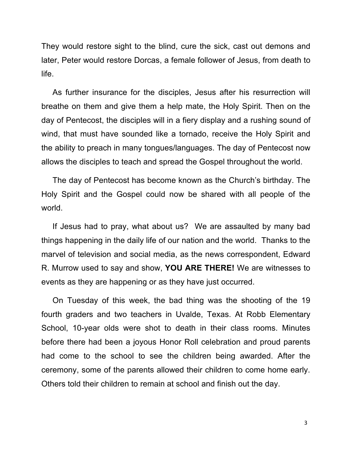They would restore sight to the blind, cure the sick, cast out demons and later, Peter would restore Dorcas, a female follower of Jesus, from death to life.

 As further insurance for the disciples, Jesus after his resurrection will breathe on them and give them a help mate, the Holy Spirit. Then on the day of Pentecost, the disciples will in a fiery display and a rushing sound of wind, that must have sounded like a tornado, receive the Holy Spirit and the ability to preach in many tongues/languages. The day of Pentecost now allows the disciples to teach and spread the Gospel throughout the world.

 The day of Pentecost has become known as the Church's birthday. The Holy Spirit and the Gospel could now be shared with all people of the world.

 If Jesus had to pray, what about us? We are assaulted by many bad things happening in the daily life of our nation and the world. Thanks to the marvel of television and social media, as the news correspondent, Edward R. Murrow used to say and show, **YOU ARE THERE!** We are witnesses to events as they are happening or as they have just occurred.

 On Tuesday of this week, the bad thing was the shooting of the 19 fourth graders and two teachers in Uvalde, Texas. At Robb Elementary School, 10-year olds were shot to death in their class rooms. Minutes before there had been a joyous Honor Roll celebration and proud parents had come to the school to see the children being awarded. After the ceremony, some of the parents allowed their children to come home early. Others told their children to remain at school and finish out the day.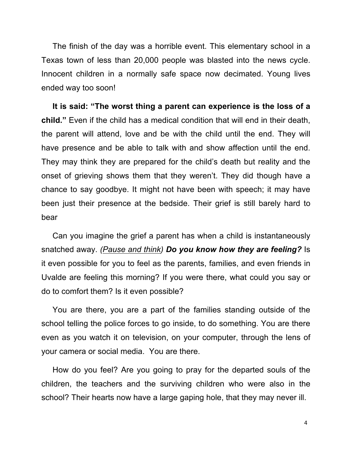The finish of the day was a horrible event. This elementary school in a Texas town of less than 20,000 people was blasted into the news cycle. Innocent children in a normally safe space now decimated. Young lives ended way too soon!

 **It is said: "The worst thing a parent can experience is the loss of a child."** Even if the child has a medical condition that will end in their death, the parent will attend, love and be with the child until the end. They will have presence and be able to talk with and show affection until the end. They may think they are prepared for the child's death but reality and the onset of grieving shows them that they weren't. They did though have a chance to say goodbye. It might not have been with speech; it may have been just their presence at the bedside. Their grief is still barely hard to bear

 Can you imagine the grief a parent has when a child is instantaneously snatched away. *(Pause and think) Do you know how they are feeling?* Is it even possible for you to feel as the parents, families, and even friends in Uvalde are feeling this morning? If you were there, what could you say or do to comfort them? Is it even possible?

 You are there, you are a part of the families standing outside of the school telling the police forces to go inside, to do something. You are there even as you watch it on television, on your computer, through the lens of your camera or social media. You are there.

 How do you feel? Are you going to pray for the departed souls of the children, the teachers and the surviving children who were also in the school? Their hearts now have a large gaping hole, that they may never ill.

4